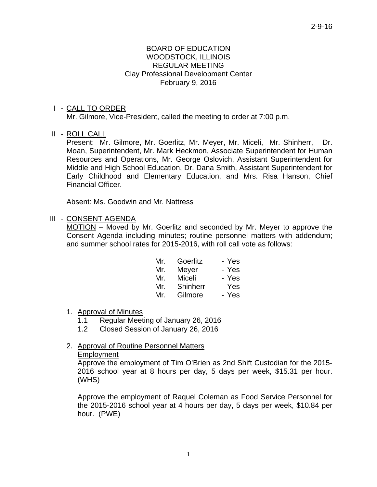#### BOARD OF EDUCATION WOODSTOCK, ILLINOIS REGULAR MEETING Clay Professional Development Center February 9, 2016

#### I - CALL TO ORDER

Mr. Gilmore, Vice-President, called the meeting to order at 7:00 p.m.

II - ROLL CALL

 Present: Mr. Gilmore, Mr. Goerlitz, Mr. Meyer, Mr. Miceli, Mr. Shinherr, Dr. Moan, Superintendent, Mr. Mark Heckmon, Associate Superintendent for Human Resources and Operations, Mr. George Oslovich, Assistant Superintendent for Middle and High School Education, Dr. Dana Smith, Assistant Superintendent for Early Childhood and Elementary Education, and Mrs. Risa Hanson, Chief Financial Officer.

Absent: Ms. Goodwin and Mr. Nattress

#### III - CONSENT AGENDA

 MOTION – Moved by Mr. Goerlitz and seconded by Mr. Meyer to approve the Consent Agenda including minutes; routine personnel matters with addendum; and summer school rates for 2015-2016, with roll call vote as follows:

| Mr. | Goerlitz     | - Yes |
|-----|--------------|-------|
|     | Mr. Meyer    | - Yes |
| Mr. | Miceli       | - Yes |
|     | Mr. Shinherr | - Yes |
| Mr. | Gilmore      | - Yes |

#### 1. Approval of Minutes

- 1.1 Regular Meeting of January 26, 2016
- 1.2 Closed Session of January 26, 2016

#### 2. Approval of Routine Personnel Matters

#### Employment

Approve the employment of Tim O'Brien as 2nd Shift Custodian for the 2015- 2016 school year at 8 hours per day, 5 days per week, \$15.31 per hour. (WHS)

Approve the employment of Raquel Coleman as Food Service Personnel for the 2015-2016 school year at 4 hours per day, 5 days per week, \$10.84 per hour. (PWE)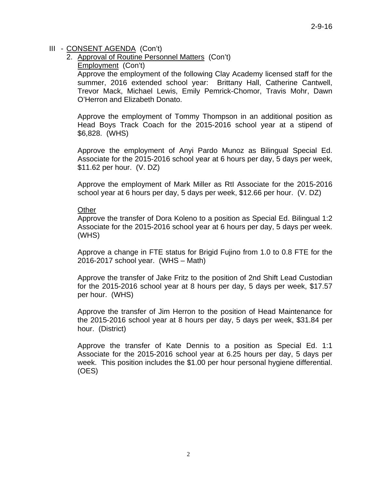#### III - CONSENT AGENDA (Con't)

- 2. Approval of Routine Personnel Matters (Con't)
	- Employment (Con't)

Approve the employment of the following Clay Academy licensed staff for the summer, 2016 extended school year: Brittany Hall, Catherine Cantwell, Trevor Mack, Michael Lewis, Emily Pemrick-Chomor, Travis Mohr, Dawn O'Herron and Elizabeth Donato.

Approve the employment of Tommy Thompson in an additional position as Head Boys Track Coach for the 2015-2016 school year at a stipend of \$6,828. (WHS)

Approve the employment of Anyi Pardo Munoz as Bilingual Special Ed. Associate for the 2015-2016 school year at 6 hours per day, 5 days per week, \$11.62 per hour. (V. DZ)

Approve the employment of Mark Miller as RtI Associate for the 2015-2016 school year at 6 hours per day, 5 days per week, \$12.66 per hour. (V. DZ)

#### **Other**

Approve the transfer of Dora Koleno to a position as Special Ed. Bilingual 1:2 Associate for the 2015-2016 school year at 6 hours per day, 5 days per week. (WHS)

Approve a change in FTE status for Brigid Fujino from 1.0 to 0.8 FTE for the 2016-2017 school year. (WHS – Math)

Approve the transfer of Jake Fritz to the position of 2nd Shift Lead Custodian for the 2015-2016 school year at 8 hours per day, 5 days per week, \$17.57 per hour. (WHS)

Approve the transfer of Jim Herron to the position of Head Maintenance for the 2015-2016 school year at 8 hours per day, 5 days per week, \$31.84 per hour. (District)

Approve the transfer of Kate Dennis to a position as Special Ed. 1:1 Associate for the 2015-2016 school year at 6.25 hours per day, 5 days per week. This position includes the \$1.00 per hour personal hygiene differential. (OES)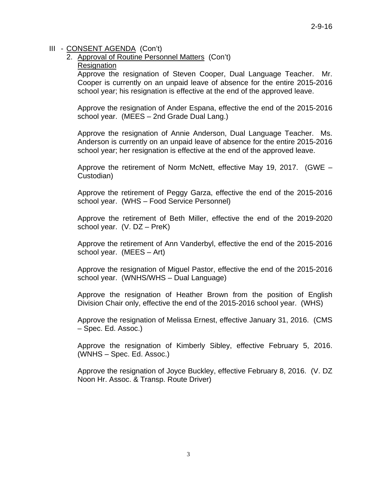## III - CONSENT AGENDA (Con't)

# 2. Approval of Routine Personnel Matters (Con't)

### Resignation

Approve the resignation of Steven Cooper, Dual Language Teacher. Mr. Cooper is currently on an unpaid leave of absence for the entire 2015-2016 school year; his resignation is effective at the end of the approved leave.

Approve the resignation of Ander Espana, effective the end of the 2015-2016 school year. (MEES – 2nd Grade Dual Lang.)

Approve the resignation of Annie Anderson, Dual Language Teacher. Ms. Anderson is currently on an unpaid leave of absence for the entire 2015-2016 school year; her resignation is effective at the end of the approved leave.

Approve the retirement of Norm McNett, effective May 19, 2017. (GWE – Custodian)

Approve the retirement of Peggy Garza, effective the end of the 2015-2016 school year. (WHS – Food Service Personnel)

Approve the retirement of Beth Miller, effective the end of the 2019-2020 school year. (V. DZ – PreK)

Approve the retirement of Ann Vanderbyl, effective the end of the 2015-2016 school year. (MEES – Art)

Approve the resignation of Miguel Pastor, effective the end of the 2015-2016 school year. (WNHS/WHS – Dual Language)

Approve the resignation of Heather Brown from the position of English Division Chair only, effective the end of the 2015-2016 school year. (WHS)

Approve the resignation of Melissa Ernest, effective January 31, 2016. (CMS – Spec. Ed. Assoc.)

Approve the resignation of Kimberly Sibley, effective February 5, 2016. (WNHS – Spec. Ed. Assoc.)

Approve the resignation of Joyce Buckley, effective February 8, 2016. (V. DZ Noon Hr. Assoc. & Transp. Route Driver)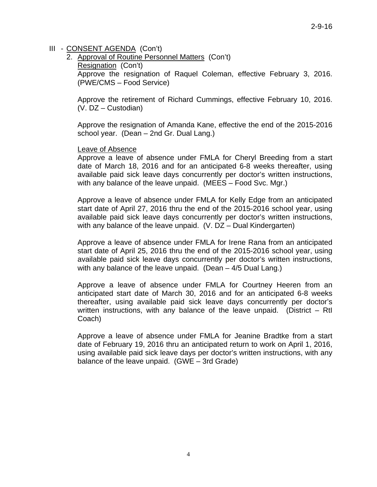## III - CONSENT AGENDA (Con't)

2. Approval of Routine Personnel Matters (Con't) Resignation (Con't) Approve the resignation of Raquel Coleman, effective February 3, 2016. (PWE/CMS – Food Service)

Approve the retirement of Richard Cummings, effective February 10, 2016. (V. DZ – Custodian)

Approve the resignation of Amanda Kane, effective the end of the 2015-2016 school year. (Dean – 2nd Gr. Dual Lang.)

## Leave of Absence

Approve a leave of absence under FMLA for Cheryl Breeding from a start date of March 18, 2016 and for an anticipated 6-8 weeks thereafter, using available paid sick leave days concurrently per doctor's written instructions, with any balance of the leave unpaid. (MEES – Food Svc. Mgr.)

Approve a leave of absence under FMLA for Kelly Edge from an anticipated start date of April 27, 2016 thru the end of the 2015-2016 school year, using available paid sick leave days concurrently per doctor's written instructions, with any balance of the leave unpaid. (V. DZ – Dual Kindergarten)

Approve a leave of absence under FMLA for Irene Rana from an anticipated start date of April 25, 2016 thru the end of the 2015-2016 school year, using available paid sick leave days concurrently per doctor's written instructions, with any balance of the leave unpaid. (Dean – 4/5 Dual Lang.)

Approve a leave of absence under FMLA for Courtney Heeren from an anticipated start date of March 30, 2016 and for an anticipated 6-8 weeks thereafter, using available paid sick leave days concurrently per doctor's written instructions, with any balance of the leave unpaid. (District – RtI Coach)

Approve a leave of absence under FMLA for Jeanine Bradtke from a start date of February 19, 2016 thru an anticipated return to work on April 1, 2016, using available paid sick leave days per doctor's written instructions, with any balance of the leave unpaid. (GWE – 3rd Grade)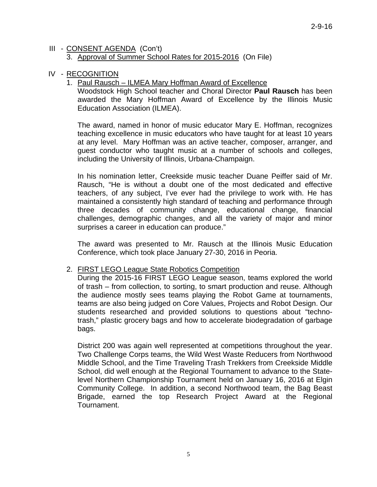#### III - CONSENT AGENDA (Con't) 3. Approval of Summer School Rates for 2015-2016 (On File)

### IV - RECOGNITION

## 1. Paul Rausch – ILMEA Mary Hoffman Award of Excellence

 Woodstock High School teacher and Choral Director **Paul Rausch** has been awarded the Mary Hoffman Award of Excellence by the Illinois Music Education Association (ILMEA).

 The award, named in honor of music educator Mary E. Hoffman, recognizes teaching excellence in music educators who have taught for at least 10 years at any level. Mary Hoffman was an active teacher, composer, arranger, and guest conductor who taught music at a number of schools and colleges, including the University of Illinois, Urbana-Champaign.

 In his nomination letter, Creekside music teacher Duane Peiffer said of Mr. Rausch, "He is without a doubt one of the most dedicated and effective teachers, of any subject, I've ever had the privilege to work with. He has maintained a consistently high standard of teaching and performance through three decades of community change, educational change, financial challenges, demographic changes, and all the variety of major and minor surprises a career in education can produce."

 The award was presented to Mr. Rausch at the Illinois Music Education Conference, which took place January 27-30, 2016 in Peoria.

#### 2. FIRST LEGO League State Robotics Competition

 During the 2015-16 FIRST LEGO League season, teams explored the world of trash – from collection, to sorting, to smart production and reuse. Although the audience mostly sees teams playing the Robot Game at tournaments, teams are also being judged on Core Values, Projects and Robot Design. Our students researched and provided solutions to questions about "technotrash," plastic grocery bags and how to accelerate biodegradation of garbage bags.

 District 200 was again well represented at competitions throughout the year. Two Challenge Corps teams, the Wild West Waste Reducers from Northwood Middle School, and the Time Traveling Trash Trekkers from Creekside Middle School, did well enough at the Regional Tournament to advance to the Statelevel Northern Championship Tournament held on January 16, 2016 at Elgin Community College. In addition, a second Northwood team, the Bag Beast Brigade, earned the top Research Project Award at the Regional Tournament.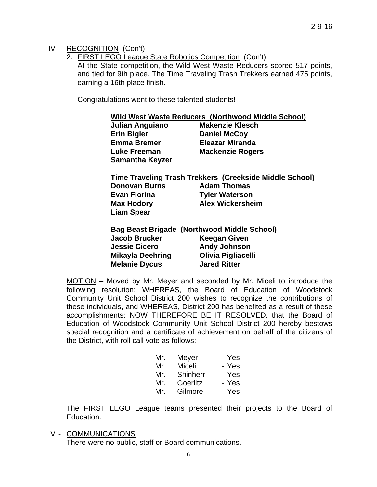## IV - RECOGNITION (Con't)

2. FIRST LEGO League State Robotics Competition (Con't)

 At the State competition, the Wild West Waste Reducers scored 517 points, and tied for 9th place. The Time Traveling Trash Trekkers earned 475 points, earning a 16th place finish.

Congratulations went to these talented students!

|                         | Wild West Waste Reducers (Northwood Middle School)      |
|-------------------------|---------------------------------------------------------|
| <b>Julian Anguiano</b>  | <b>Makenzie Klesch</b>                                  |
| <b>Erin Bigler</b>      | <b>Daniel McCoy</b>                                     |
| <b>Emma Bremer</b>      | <b>Eleazar Miranda</b>                                  |
| Luke Freeman            | <b>Mackenzie Rogers</b>                                 |
| <b>Samantha Keyzer</b>  |                                                         |
|                         | Time Traveling Trash Trekkers (Creekside Middle School) |
| <b>Donovan Burns</b>    | <b>Adam Thomas</b>                                      |
| Evan Fiorina            | <b>Tyler Waterson</b>                                   |
| Max Hodory              | <b>Alex Wickersheim</b>                                 |
| <b>Liam Spear</b>       |                                                         |
|                         | <b>Bag Beast Brigade (Northwood Middle School)</b>      |
| Jacob Brucker           | <b>Keegan Given</b>                                     |
| <b>Jessie Cicero</b>    | <b>Andy Johnson</b>                                     |
| <b>Mikayla Deehring</b> | Olivia Pigliacelli                                      |
|                         |                                                         |

MOTION – Moved by Mr. Meyer and seconded by Mr. Miceli to introduce the following resolution: WHEREAS, the Board of Education of Woodstock Community Unit School District 200 wishes to recognize the contributions of these individuals, and WHEREAS, District 200 has benefited as a result of these accomplishments; NOW THEREFORE BE IT RESOLVED, that the Board of Education of Woodstock Community Unit School District 200 hereby bestows special recognition and a certificate of achievement on behalf of the citizens of the District, with roll call vote as follows:

 **Melanie Dycus Jared Ritter** 

| Mr. | Meyer    | - Yes |
|-----|----------|-------|
| Mr. | Miceli   | - Yes |
| Mr. | Shinherr | - Yes |
| Mr. | Goerlitz | - Yes |
| Mr. | Gilmore  | - Yes |

 The FIRST LEGO League teams presented their projects to the Board of Education.

V - COMMUNICATIONS

There were no public, staff or Board communications.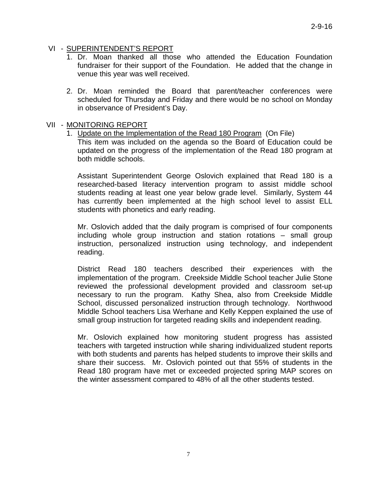## VI - SUPERINTENDENT'S REPORT

- 1. Dr. Moan thanked all those who attended the Education Foundation fundraiser for their support of the Foundation. He added that the change in venue this year was well received.
- 2. Dr. Moan reminded the Board that parent/teacher conferences were scheduled for Thursday and Friday and there would be no school on Monday in observance of President's Day.

#### VII - MONITORING REPORT

1. Update on the Implementation of the Read 180 Program (On File)

This item was included on the agenda so the Board of Education could be updated on the progress of the implementation of the Read 180 program at both middle schools.

Assistant Superintendent George Oslovich explained that Read 180 is a researched-based literacy intervention program to assist middle school students reading at least one year below grade level. Similarly, System 44 has currently been implemented at the high school level to assist ELL students with phonetics and early reading.

Mr. Oslovich added that the daily program is comprised of four components including whole group instruction and station rotations – small group instruction, personalized instruction using technology, and independent reading.

District Read 180 teachers described their experiences with the implementation of the program. Creekside Middle School teacher Julie Stone reviewed the professional development provided and classroom set-up necessary to run the program. Kathy Shea, also from Creekside Middle School, discussed personalized instruction through technology. Northwood Middle School teachers Lisa Werhane and Kelly Keppen explained the use of small group instruction for targeted reading skills and independent reading.

Mr. Oslovich explained how monitoring student progress has assisted teachers with targeted instruction while sharing individualized student reports with both students and parents has helped students to improve their skills and share their success. Mr. Oslovich pointed out that 55% of students in the Read 180 program have met or exceeded projected spring MAP scores on the winter assessment compared to 48% of all the other students tested.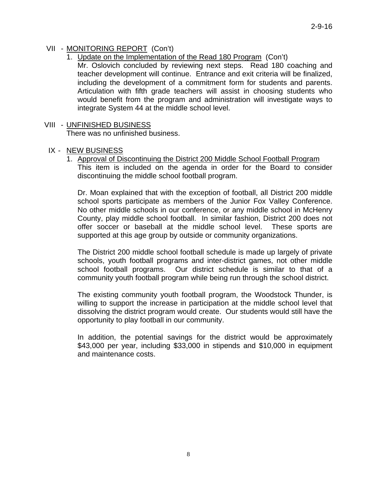# VII - MONITORING REPORT (Con't)

1. Update on the Implementation of the Read 180 Program (Con't)

Mr. Oslovich concluded by reviewing next steps. Read 180 coaching and teacher development will continue. Entrance and exit criteria will be finalized, including the development of a commitment form for students and parents. Articulation with fifth grade teachers will assist in choosing students who would benefit from the program and administration will investigate ways to integrate System 44 at the middle school level.

## VIII - UNFINISHED BUSINESS

There was no unfinished business.

#### IX - NEW BUSINESS

1. Approval of Discontinuing the District 200 Middle School Football Program

This item is included on the agenda in order for the Board to consider discontinuing the middle school football program.

Dr. Moan explained that with the exception of football, all District 200 middle school sports participate as members of the Junior Fox Valley Conference. No other middle schools in our conference, or any middle school in McHenry County, play middle school football. In similar fashion, District 200 does not offer soccer or baseball at the middle school level. These sports are supported at this age group by outside or community organizations.

The District 200 middle school football schedule is made up largely of private schools, youth football programs and inter-district games, not other middle school football programs. Our district schedule is similar to that of a community youth football program while being run through the school district.

The existing community youth football program, the Woodstock Thunder, is willing to support the increase in participation at the middle school level that dissolving the district program would create. Our students would still have the opportunity to play football in our community.

In addition, the potential savings for the district would be approximately \$43,000 per year, including \$33,000 in stipends and \$10,000 in equipment and maintenance costs.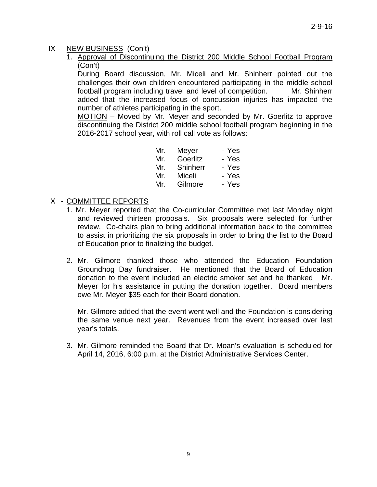# IX - NEW BUSINESS (Con't)

1. Approval of Discontinuing the District 200 Middle School Football Program (Con't)

During Board discussion, Mr. Miceli and Mr. Shinherr pointed out the challenges their own children encountered participating in the middle school football program including travel and level of competition. Mr. Shinherr added that the increased focus of concussion injuries has impacted the number of athletes participating in the sport.

MOTION – Moved by Mr. Meyer and seconded by Mr. Goerlitz to approve discontinuing the District 200 middle school football program beginning in the 2016-2017 school year, with roll call vote as follows:

| Mr. | Meyer    | - Yes |
|-----|----------|-------|
| Mr. | Goerlitz | - Yes |
| Mr. | Shinherr | - Yes |
| Mr. | Miceli   | - Yes |
| Mr. | Gilmore  | - Yes |
|     |          |       |

## X - COMMITTEE REPORTS

- 1. Mr. Meyer reported that the Co-curricular Committee met last Monday night and reviewed thirteen proposals. Six proposals were selected for further review. Co-chairs plan to bring additional information back to the committee to assist in prioritizing the six proposals in order to bring the list to the Board of Education prior to finalizing the budget.
- 2. Mr. Gilmore thanked those who attended the Education Foundation Groundhog Day fundraiser. He mentioned that the Board of Education donation to the event included an electric smoker set and he thanked Mr. Meyer for his assistance in putting the donation together. Board members owe Mr. Meyer \$35 each for their Board donation.

Mr. Gilmore added that the event went well and the Foundation is considering the same venue next year. Revenues from the event increased over last year's totals.

3. Mr. Gilmore reminded the Board that Dr. Moan's evaluation is scheduled for April 14, 2016, 6:00 p.m. at the District Administrative Services Center.